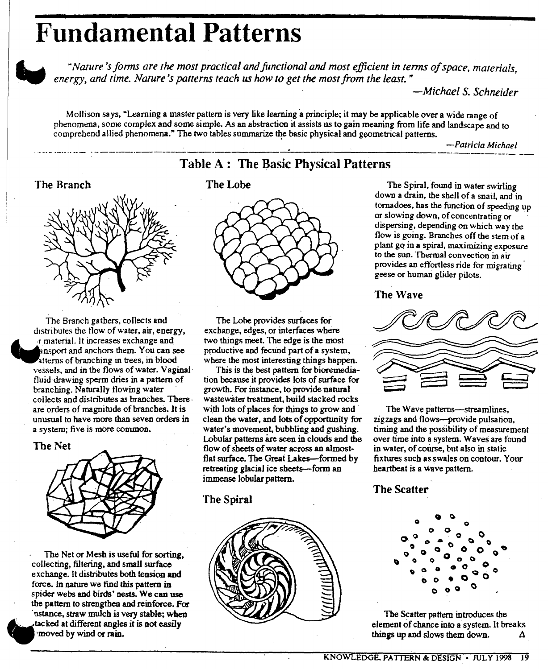# **Fundamental Patterns**



*"Na/ure 'sfonns are the most practical and functional and most efficient in (enns of space, materials, energy, and time. Narure 's panerns teach us how to get the most from the least* .••

*-Michael* S. *Schneider*

Mollison says, "Learning a master pattern is very like learning a principle; it may be applicable over a wide range of phenomena, some complex and some simple. As an abstraction it assists us to gain meaning from life and landscape and to comprehend allied phenomena." The two tables summarize the basic physical and geometrical patterns.

Table A: The Basic Physical Patterns

*. -Patricia Michael* ..~...- ~\_.\_..-- - - -- -----\_.\_-------\_.\_---------------~--------------------- ---..---------- --

## The Branch



The Branch gathers. collects and distributes the flow of water, air, energy,<br>
r material. It increases exchange and atterns of branching in trees, in blood nsport and anchors them. You can see vessels. and in the flows of water. Vaginal fluid drawing sperm dries in a pattern of branching. Naturally tlowing water collects and distributes as branches. There· are orders of magnitude of brancheS. Jt is unusual to have more than seven orders in a system; five is more common.

#### The Net



The Net or Mesh is useful for sorting, collecting, fillering, and small swface exchange. It distributes both tension and force. In nature we find this pattern in spider webs and birds' nests. We can use the pattern to strengthen and reinforce. For instance, straw mulch is very stable; when  $x$  tacked at different angles it is not easily  $\blacktriangledown$  at bydifferent wind orange at bydifferent wind orange  $\blacktriangledown$ .



The Lobe provides surfaces for exchange, edges, or interfaces where two things meet. The edge is the most productive and fecund part of a system, where the most interesting things happen.

This is the best pattern for bioremediation because it provides lots of surface for growth. For instance, to provide natural wastewater treatment, build stacked rocks with lots of places for things to grow and clean the water, and lots of opportunity for water's movement, bubbling and gushing. Lobular patterns are seen in clouds and the flow of sheets of water across an almostflat surface. The Great Lakes-formed by retreating glacial ice sheets-form an immense lobular pattern.

### The Spiral



The Lobe The Spiral, found in water swirling down a drain, the shell of a snail, and in tornadoes, has the function of speeding up or slowing down, of concentrating or dispersing, depending on which way the flow is going. Branches off the stem of a plant go in a spiral, maximizing exposure to the sun. Thermal convection in air provides an effortless ride for migrating geese or human glider pilots.

The Wave



The Wave patterns-streamlines, zigzags and tlows-provide pulsation, timing and the possibility of measurement over time into a system. Waves are found in water, of course, but also in static fixtures such as swales on contour. Your heartbeat is a Wave pattern.

### The Scatter



The Scatter pattern introduces the element of chance into a system. It breaks things up and slows them down. A